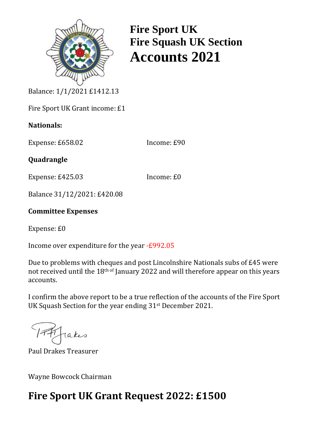

**Fire Sport UK Fire Squash UK Section Accounts 2021**

Balance: 1/1/2021 £1412.13

Fire Sport UK Grant income: £1

## **Nationals:**

Expense: £658.02 Income: £90

**Quadrangle**

Expense: £425.03 Income: £0

Balance 31/12/2021: £420.08

## **Committee Expenses**

Expense: £0

Income over expenditure for the year -£992.05

Due to problems with cheques and post Lincolnshire Nationals subs of £45 were not received until the 18th of January 2022 and will therefore appear on this years accounts.

I confirm the above report to be a true reflection of the accounts of the Fire Sport UK Squash Section for the year ending 31st December 2021.

Takes

Paul Drakes Treasurer

Wayne Bowcock Chairman

## **Fire Sport UK Grant Request 2022: £1500**